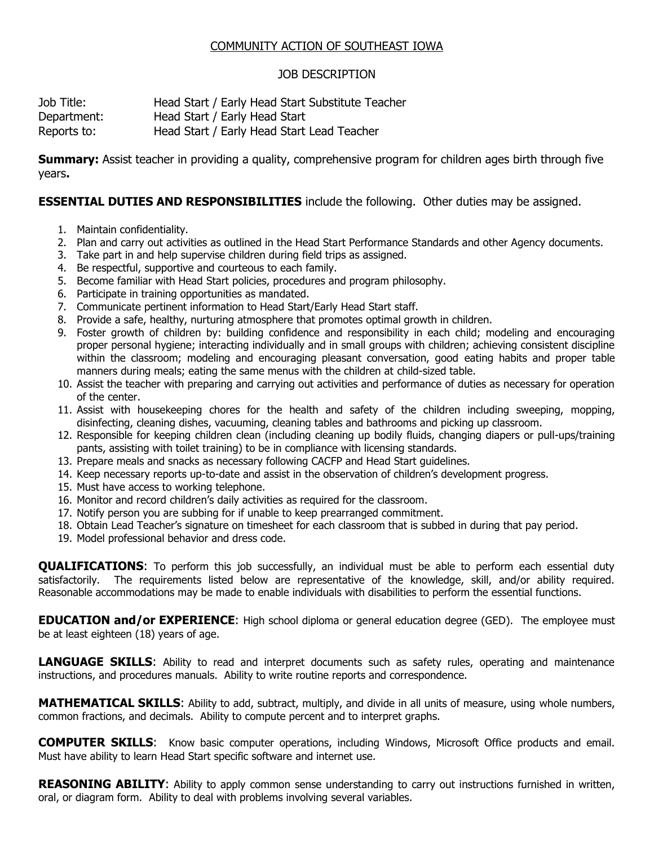## COMMUNITY ACTION OF SOUTHEAST IOWA

## JOB DESCRIPTION

Job Title: Head Start / Early Head Start Substitute Teacher Department: Head Start / Early Head Start Reports to: Head Start / Early Head Start Lead Teacher

**Summary:** Assist teacher in providing a quality, comprehensive program for children ages birth through five years**.**

## **ESSENTIAL DUTIES AND RESPONSIBILITIES** include the following. Other duties may be assigned.

- 1. Maintain confidentiality.
- 2. Plan and carry out activities as outlined in the Head Start Performance Standards and other Agency documents.
- 3. Take part in and help supervise children during field trips as assigned.
- 4. Be respectful, supportive and courteous to each family.
- 5. Become familiar with Head Start policies, procedures and program philosophy.
- 6. Participate in training opportunities as mandated.
- 7. Communicate pertinent information to Head Start/Early Head Start staff.
- 8. Provide a safe, healthy, nurturing atmosphere that promotes optimal growth in children.
- 9. Foster growth of children by: building confidence and responsibility in each child; modeling and encouraging proper personal hygiene; interacting individually and in small groups with children; achieving consistent discipline within the classroom; modeling and encouraging pleasant conversation, good eating habits and proper table manners during meals; eating the same menus with the children at child-sized table.
- 10. Assist the teacher with preparing and carrying out activities and performance of duties as necessary for operation of the center.
- 11. Assist with housekeeping chores for the health and safety of the children including sweeping, mopping, disinfecting, cleaning dishes, vacuuming, cleaning tables and bathrooms and picking up classroom.
- 12. Responsible for keeping children clean (including cleaning up bodily fluids, changing diapers or pull-ups/training pants, assisting with toilet training) to be in compliance with licensing standards.
- 13. Prepare meals and snacks as necessary following CACFP and Head Start guidelines.
- 14. Keep necessary reports up-to-date and assist in the observation of children's development progress.
- 15. Must have access to working telephone.
- 16. Monitor and record children's daily activities as required for the classroom.
- 17. Notify person you are subbing for if unable to keep prearranged commitment.
- 18. Obtain Lead Teacher's signature on timesheet for each classroom that is subbed in during that pay period.
- 19. Model professional behavior and dress code.

**QUALIFICATIONS**: To perform this job successfully, an individual must be able to perform each essential duty satisfactorily. The requirements listed below are representative of the knowledge, skill, and/or ability required. Reasonable accommodations may be made to enable individuals with disabilities to perform the essential functions.

**EDUCATION and/or EXPERIENCE:** High school diploma or general education degree (GED). The employee must be at least eighteen (18) years of age.

**LANGUAGE SKILLS:** Ability to read and interpret documents such as safety rules, operating and maintenance instructions, and procedures manuals. Ability to write routine reports and correspondence.

**MATHEMATICAL SKILLS**: Ability to add, subtract, multiply, and divide in all units of measure, using whole numbers, common fractions, and decimals. Ability to compute percent and to interpret graphs.

**COMPUTER SKILLS**: Know basic computer operations, including Windows, Microsoft Office products and email. Must have ability to learn Head Start specific software and internet use.

**REASONING ABILITY**: Ability to apply common sense understanding to carry out instructions furnished in written, oral, or diagram form. Ability to deal with problems involving several variables.